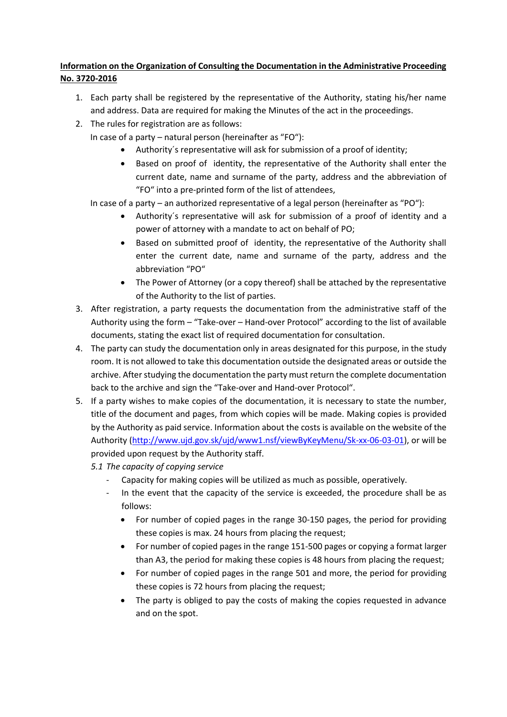## **Information on the Organization of Consulting the Documentation in the Administrative Proceeding No. 3720-2016**

- 1. Each party shall be registered by the representative of the Authority, stating his/her name and address. Data are required for making the Minutes of the act in the proceedings.
- 2. The rules for registration are as follows:
	- In case of a party natural person (hereinafter as "FO"):
		- Authority´s representative will ask for submission of a proof of identity;
		- Based on proof of identity, the representative of the Authority shall enter the current date, name and surname of the party, address and the abbreviation of "FO" into a pre-printed form of the list of attendees,

In case of a party – an authorized representative of a legal person (hereinafter as "PO"):

- Authority´s representative will ask for submission of a proof of identity and a power of attorney with a mandate to act on behalf of PO;
- Based on submitted proof of identity, the representative of the Authority shall enter the current date, name and surname of the party, address and the abbreviation "PO"
- The Power of Attorney (or a copy thereof) shall be attached by the representative of the Authority to the list of parties.
- 3. After registration, a party requests the documentation from the administrative staff of the Authority using the form – "Take-over – Hand-over Protocol" according to the list of available documents, stating the exact list of required documentation for consultation.
- 4. The party can study the documentation only in areas designated for this purpose, in the study room. It is not allowed to take this documentation outside the designated areas or outside the archive. After studying the documentation the party must return the complete documentation back to the archive and sign the "Take-over and Hand-over Protocol".
- 5. If a party wishes to make copies of the documentation, it is necessary to state the number, title of the document and pages, from which copies will be made. Making copies is provided by the Authority as paid service. Information about the costs is available on the website of the Authority [\(http://www.ujd.gov.sk/ujd/www1.nsf/viewByKeyMenu/Sk-xx-06-03-01\)](http://www.ujd.gov.sk/ujd/www1.nsf/viewByKeyMenu/Sk-xx-06-03-01), or will be provided upon request by the Authority staff.
	- *5.1 The capacity of copying service*
		- Capacity for making copies will be utilized as much as possible, operatively.
		- In the event that the capacity of the service is exceeded, the procedure shall be as follows:
			- For number of copied pages in the range 30-150 pages, the period for providing these copies is max. 24 hours from placing the request;
			- For number of copied pages in the range 151-500 pages or copying a format larger than A3, the period for making these copies is 48 hours from placing the request;
			- For number of copied pages in the range 501 and more, the period for providing these copies is 72 hours from placing the request;
			- The party is obliged to pay the costs of making the copies requested in advance and on the spot.